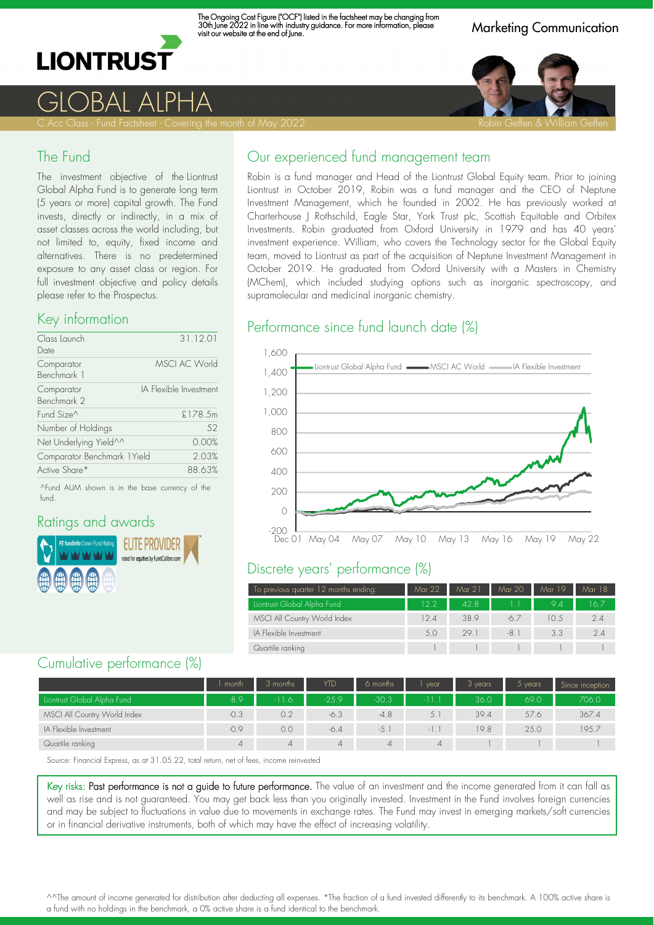

The Ongoing Cost Figure ("OCF") listed in the factsheet may be changing from 30th June 2022 in line with industry guidance. For more information, please visit our website at the end of June.

Marketing Communication



GLOBAL ALPHA

#### The Fund

The investment objective of the Liontrust Global Alpha Fund is to generate long term (5 years or more) capital growth. The Fund invests, directly or indirectly, in a mix of asset classes across the world including, but not limited to, equity, fixed income and alternatives. There is no predetermined exposure to any asset class or region. For full investment objective and policy details please refer to the Prospectus.

#### Key information

| Class Launch<br>Date         | 31.12.01               |
|------------------------------|------------------------|
| Comparator<br>Benchmark 1    | <b>MSCI AC World</b>   |
| Comparator<br>Benchmark 2    | IA Flexible Investment |
| Fund Size <sup>^</sup>       | £178.5m                |
| Number of Holdings           | 52                     |
| Net Underlying Yield^^       | 0.00%                  |
| Comparator Benchmark 1 Yield | 2.03%                  |
| Active Share*                | 88.63%                 |

^Fund AUM shown is in the base currency of the fund.

### Ratings and awards



### Our experienced fund management team

Robin is a fund manager and Head of the Liontrust Global Equity team. Prior to joining Liontrust in October 2019, Robin was a fund manager and the CEO of Neptune Investment Management, which he founded in 2002. He has previously worked at Charterhouse J Rothschild, Eagle Star, York Trust plc, Scottish Equitable and Orbitex Investments. Robin graduated from Oxford University in 1979 and has 40 years' investment experience. William, who covers the Technology sector for the Global Equity team, moved to Liontrust as part of the acquisition of Neptune Investment Management in October 2019. He graduated from Oxford University with a Masters in Chemistry (MChem), which included studying options such as inorganic spectroscopy, and supramolecular and medicinal inorganic chemistry.

#### Performance since fund launch date (%)



### Discrete years' performance (%)

| To previous quarter 12 months ending: | Mar 22            | Mar 21 | Mar 20 | Mar 19 | Mar 18 |
|---------------------------------------|-------------------|--------|--------|--------|--------|
| Liontrust Global Alpha Fund           | 12.2 <sub>2</sub> | 428    |        | 94     | 16 Z   |
| MSCI All Country World Index          | 12.4              | 38.9   | -6.7   | 10.5   | 2.4    |
| IA Flexible Investment                | 5.0               | 29.1   | $-8.1$ | 3.3    | 24     |
| Quartile ranking                      |                   |        |        |        |        |

#### Cumulative performance (%)

|                              | month  | 3 months       | <b>YTD</b> | 6 months | vear    | 3 years | 5 years | Since inception |
|------------------------------|--------|----------------|------------|----------|---------|---------|---------|-----------------|
| Liontrust Global Alpha Fund  | $-8.9$ | $-11.6$        | $-25.9$    | $-30.3$  | $-11.1$ | 36.0    | 69.0    | 706.0           |
| MSCI All Country World Index | $-0.3$ | 0.2            | $-6.3$     | $-4.8$   | 5.1     | 39.4    | 57.6    | 367.4           |
| IA Flexible Investment       | $-0.9$ | 0.0            | $-6.4$     | $-5.$    | -1.1    | 19.8    | 25.0    | 195.7           |
| Quartile ranking             |        | $\overline{4}$ |            | $\Delta$ | 4       |         |         |                 |

Source: Financial Express, as at 31.05.22, total return, net of fees, income reinvested

Key risks: Past performance is not a guide to future performance. The value of an investment and the income generated from it can fall as well as rise and is not guaranteed. You may get back less than you originally invested. Investment in the Fund involves foreign currencies and may be subject to fluctuations in value due to movements in exchange rates. The Fund may invest in emerging markets/soft currencies or in financial derivative instruments, both of which may have the effect of increasing volatility.

^^The amount of income generated for distribution after deducting all expenses. \*The fraction of a fund invested differently to its benchmark. A 100% active share is a fund with no holdings in the benchmark, a 0% active share is a fund identical to the benchmark.